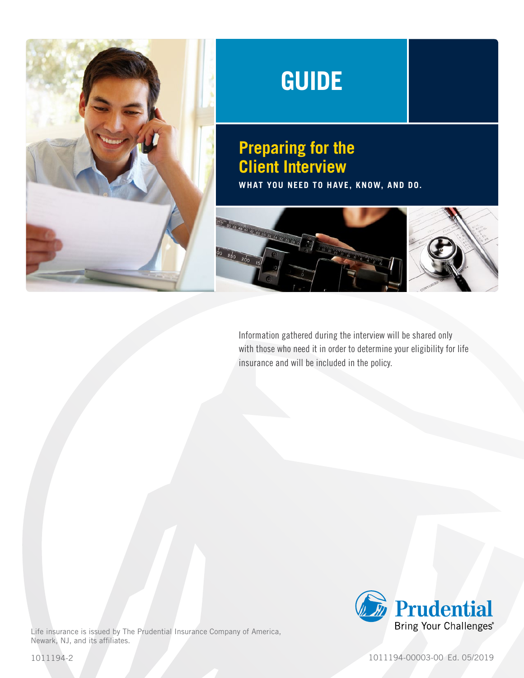

# **GUIDE**

## **Preparing for the Client Interview**

**WHAT YOU NEED TO HAVE, KNOW, AND DO.**



Information gathered during the interview will be shared only with those who need it in order to determine your eligibility for life insurance and will be included in the policy.



Life insurance is issued by The Prudential Insurance Company of America, Newark, NJ, and its affiliates.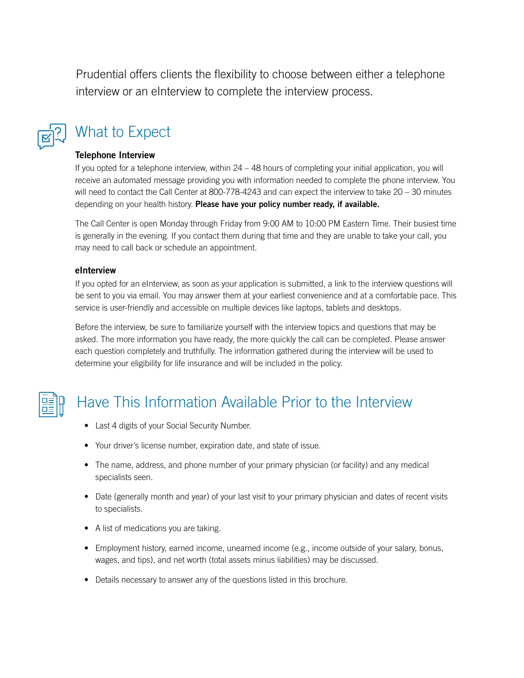Prudential offers clients the flexibility to choose between either a telephone interview or an eInterview to complete the interview process.



# What to Expect

#### Telephone Interview

If you opted for a telephone interview, within 24 – 48 hours of completing your initial application, you will receive an automated message providing you with information needed to complete the phone interview. You will need to contact the Call Center at 800-778-4243 and can expect the interview to take 20 – 30 minutes depending on your health history. Please have your policy number ready, if available.

The Call Center is open Monday through Friday from 9:00 AM to 10:00 PM Eastern Time. Their busiest time is generally in the evening. If you contact them during that time and they are unable to take your call, you may need to call back or schedule an appointment.

#### eInterview

If you opted for an eInterview, as soon as your application is submitted, a link to the interview questions will be sent to you via email. You may answer them at your earliest convenience and at a comfortable pace. This service is user-friendly and accessible on multiple devices like laptops, tablets and desktops.

Before the interview, be sure to familiarize yourself with the interview topics and questions that may be asked. The more information you have ready, the more quickly the call can be completed. Please answer each question completely and truthfully. The information gathered during the interview will be used to determine your eligibility for life insurance and will be included in the policy.



# Have This Information Available Prior to the Interview

- Last 4 digits of your Social Security Number.
- Your driver's license number, expiration date, and state of issue.
- The name, address, and phone number of your primary physician (or facility) and any medical specialists seen.
- Date (generally month and year) of your last visit to your primary physician and dates of recent visits to specialists.
- A list of medications you are taking.
- Employment history, earned income, unearned income (e.g., income outside of your salary, bonus, wages, and tips), and net worth (total assets minus liabilities) may be discussed.
- Details necessary to answer any of the questions listed in this brochure.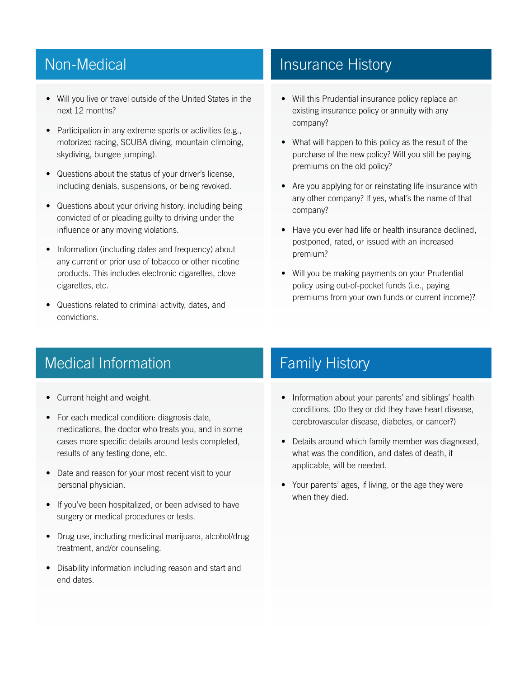### Non-Medical

- Will you live or travel outside of the United States in the next 12 months?
- Participation in any extreme sports or activities (e.g., motorized racing, SCUBA diving, mountain climbing, skydiving, bungee jumping).
- Questions about the status of your driver's license, including denials, suspensions, or being revoked.
- Questions about your driving history, including being convicted of or pleading guilty to driving under the influence or any moving violations.
- Information (including dates and frequency) about any current or prior use of tobacco or other nicotine products. This includes electronic cigarettes, clove cigarettes, etc.
- Questions related to criminal activity, dates, and convictions.

### Insurance History

- Will this Prudential insurance policy replace an existing insurance policy or annuity with any company?
- What will happen to this policy as the result of the purchase of the new policy? Will you still be paying premiums on the old policy?
- Are you applying for or reinstating life insurance with any other company? If yes, what's the name of that company?
- Have you ever had life or health insurance declined, postponed, rated, or issued with an increased premium?
- Will you be making payments on your Prudential policy using out-of-pocket funds (i.e., paying premiums from your own funds or current income)?

### Medical Information

- Current height and weight.
- For each medical condition: diagnosis date, medications, the doctor who treats you, and in some cases more specific details around tests completed, results of any testing done, etc.
- Date and reason for your most recent visit to your personal physician.
- If you've been hospitalized, or been advised to have surgery or medical procedures or tests.
- Drug use, including medicinal marijuana, alcohol/drug treatment, and/or counseling.
- Disability information including reason and start and end dates.

### Family History

- Information about your parents' and siblings' health conditions. (Do they or did they have heart disease, cerebrovascular disease, diabetes, or cancer?)
- Details around which family member was diagnosed, what was the condition, and dates of death, if applicable, will be needed.
- Your parents' ages, if living, or the age they were when they died.